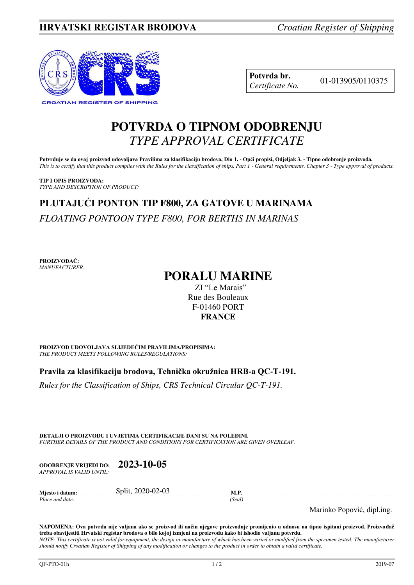

**Potvrda br.** 01-013905/0110375 *Certificate No.* 

### **POTVRDA O TIPNOM ODOBRENJU**  *TYPE APPROVAL CERTIFICATE*

**Potvrđuje se da ovaj proizvod udovoljava Pravilima za klasifikaciju brodova, Dio 1. - Opći propisi, Odjeljak 3. - Tipno odobrenje proizvoda.**  *This is to certify that this product complies with the Rules for the classification of ships, Part 1 - General requirements, Chapter 3 - Type approval of products.* 

**TIP I OPIS PROIZVODA:** *TYPE AND DESCRIPTION OF PRODUCT:* 

# **PLUTAJUĆI PONTON TIP F800, ZA GATOVE U MARINAMA**  *FLOATING PONTOON TYPE F800, FOR BERTHS IN MARINAS*

**PROIZVOĐAČ:** *MANUFACTURER:*

# **PORALU MARINE**

ZI "Le Marais" Rue des Bouleaux F-01460 PORT **FRANCE** 

**PROIZVOD UDOVOLJAVA SLIJEDEĆIM PRAVILIMA/PROPISIMA:** *THE PRODUCT MEETS FOLLOWING RULES/REGULATIONS:* 

**Pravila za klasifikaciju brodova, Tehnička okružnica HRB-a QC-T-191.** 

*Rules for the Classification of Ships, CRS Technical Circular QC-T-191.*

**DETALJI O PROIZVODU I UVJETIMA CERTIFIKACIJE DANI SU NA POLEĐINI.** *FURTHER DETAILS OF THE PRODUCT AND CONDITIONS FOR CERTIFICATION ARE GIVEN OVERLEAF.* 

| <b>ODOBRENJE VRLIEDI DO:</b> | 2023-10-05 |
|------------------------------|------------|
| APPROVAL IS VALID UNTIL:-    |            |
|                              |            |

*Place and date: (Seal)* 

**Mjesto i datum:** Split, 2020-02-03 **M.P.** 

Marinko Popović, dipl.ing.

**NAPOMENA: Ova potvrda nije valjana ako se proizvod ili način njegove proizvodnje promijenio u odnosu na tipno ispitani proizvod. Proizvođač treba obavijestiti Hrvatski registar brodova o bilo kojoj izmjeni na proizvodu kako bi ishodio valjanu potvrdu.**  *NOTE: This certificate is not valid for equipment, the design or manufacture of which has been varied or modified from the specimen tested. The manufacturer should notify Croatian Register of Shipping of any modification or changes to the product in order to obtain a valid certificate.*